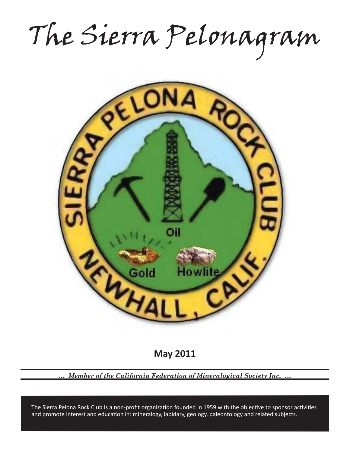The Sierra Pelonagram



**May 2011**

*… Member of the California Federation of Mineralogical Society Inc. …*

and promote interest and education in: mineralogy, lapidary, geology, paleontology and related subjects. The Sierra Pelona Rock Club is a non-profit organization founded in 1959 with the objective to sponsor activities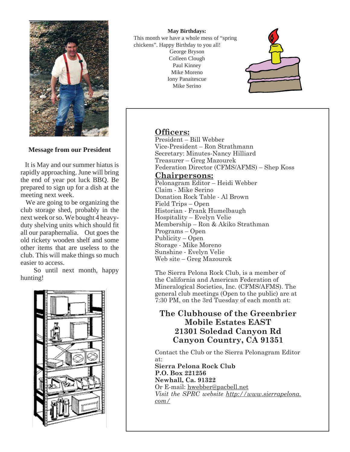

**Message from our President**

 It is May and our summer hiatus is rapidly approaching. June will bring the end of year pot luck BBQ. Be prepared to sign up for a dish at the meeting next week.

 We are going to be organizing the club storage shed, probably in the next week or so. We bought 4 heavyduty shelving units which should fit all our paraphernalia. Out goes the old rickety wooden shelf and some other items that are useless to the club. This will make things so much easier to access.

 So until next month, happy hunting!



**May Birthdays:** This month we have a whole mess of "spring chickens". Happy Birthday to you all! George Bryson Colleen Clough Paul Kinney Mike Moreno Iony Panaitescue Mike Serino



## **Officers:**

President – Bill Webber Vice-President – Ron Strathmann Secretary: Minutes-Nancy Hilliard Treasurer – Greg Mazourek Federation Director (CFMS/AFMS) – Shep Koss

## **Chairpersons:**

Pelonagram Editor – Heidi Webber Claim - Mike Serino Donation Rock Table - Al Brown Field Trips – Open Historian - Frank Humelbaugh Hospitality – Evelyn Velie Membership – Ron & Akiko Strathman Programs – Open Publicity – Open Storage - Mike Moreno Sunshine - Evelyn Velie Web site – Greg Mazourek

The Sierra Pelona Rock Club, is a member of the California and American Federation of Mineralogical Societies, Inc. (CFMS/AFMS). The general club meetings (Open to the public) are at 7:30 PM, on the 3rd Tuesday of each month at:

# **The Clubhouse of the Greenbrier Mobile Estates EAST 21301 Soledad Canyon Rd Canyon Country, CA 91351**

Contact the Club or the Sierra Pelonagram Editor at:

**Sierra Pelona Rock Club P.O. Box 221256 Newhall, Ca. 91322** Or E-mail: hwebber@pacbell.net *Visit the SPRC website http://www.sierrapelona. com/*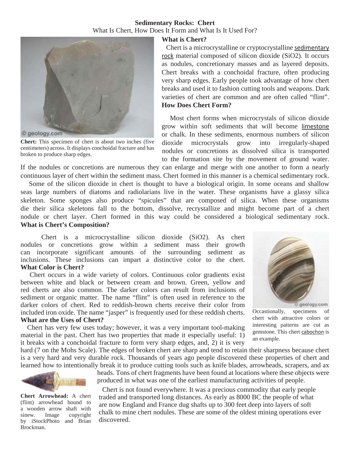#### **Sedimentary Rocks: Chert** What Is Chert, How Does It Form and What Is It Used For?



**Chert:** This specimen of chert is about two inches (five centimeters) across. It displays conchoidal fracture and has broken to produce sharp edges.

#### **What is Chert?**

 Chert is a microcrystalline or cryptocrystalline sedimentary rock material composed of silicon dioxide (SiO2). It occurs as nodules, concretionary masses and as layered deposits. Chert breaks with a conchoidal fracture, often producing very sharp edges. Early people took advantage of how chert breaks and used it to fashion cutting tools and weapons. Dark varieties of chert are common and are often called "flint". **How Does Chert Form?**

 Most chert forms when microcrystals of silicon dioxide grow within soft sediments that will become limestone or chalk. In these sediments, enormous numbers of silicon dioxide microcrystals grow into irregularly-shaped nodules or concretions as dissolved silica is transported to the formation site by the movement of ground water.

If the nodules or concretions are numerous they can enlarge and merge with one another to form a nearly continuous layer of chert within the sediment mass. Chert formed in this manner is a chemical sedimentary rock.

 Some of the silicon dioxide in chert is thought to have a biological origin. In some oceans and shallow seas large numbers of diatoms and radiolarians live in the water. These organisms have a glassy silica skeleton. Some sponges also produce "spicules" that are composed of silica. When these organisms die their silica skeletons fall to the bottom, dissolve, recrystallize and might become part of a chert nodule or chert layer. Chert formed in this way could be considered a biological sedimentary rock. **What is Chert's Composition?**

 Chert is a microcrystalline silicon dioxide (SiO2). As chert nodules or concretions grow within a sediment mass their growth can incorporate significant amounts of the surrounding sediment as inclusions. These inclusions can impart a distinctive color to the chert. **What Color is Chert?**

 Chert occurs in a wide variety of colors. Continuous color gradients exist between white and black or between cream and brown. Green, yellow and red cherts are also common. The darker colors can result from inclusions of sediment or organic matter. The name "flint" is often used in reference to the darker colors of chert. Red to reddish-brown cherts receive their color from included iron oxide. The name "jasper" is frequently used for these reddish cherts. **What are the Uses of Chert?**

Chert has very few uses today; however, it was a very important tool-making

@ geology.com Occastionally, specimens of

chert with attractive colors or interesting patterns are cut as gemstone. This chert cabochon is an example.

material in the past. Chert has two properties that made it especially useful: 1) it breaks with a conchoidal fracture to form very sharp edges, and, 2) it is very hard (7 on the Mohs Scale). The edges of broken chert are sharp and tend to retain their sharpness because chert



**Chert Arrowhead:** A chert (flint) arrowhead bound to a wooden arrow shaft with sinew. Image copyright by iStockPhoto and Brian Brockman.

heads. Tons of chert fragments have been found at locations where these objects were produced in what was one of the earliest manufacturing activities of people.

 Chert is not found everywhere. It was a precious commodity that early people traded and transported long distances. As early as 8000 BC the people of what are now England and France dug shafts up to 300 feet deep into layers of soft chalk to mine chert nodules. These are some of the oldest mining operations ever discovered.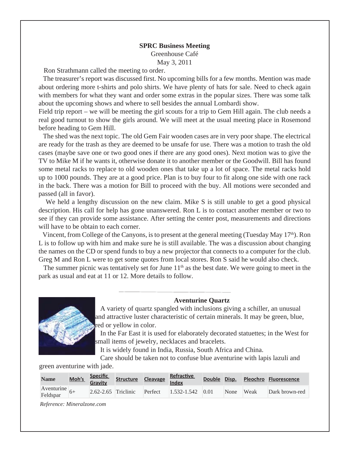## **SPRC Business Meeting** Greenhouse Café May 3, 2011

Ron Strathmann called the meeting to order.

 The treasurer's report was discussed first. No upcoming bills for a few months. Mention was made about ordering more t-shirts and polo shirts. We have plenty of hats for sale. Need to check again with members for what they want and order some extras in the popular sizes. There was some talk about the upcoming shows and where to sell besides the annual Lombardi show.

Field trip report – we will be meeting the girl scouts for a trip to Gem Hill again. The club needs a real good turnout to show the girls around. We will meet at the usual meeting place in Rosemond before heading to Gem Hill.

 The shed was the next topic. The old Gem Fair wooden cases are in very poor shape. The electrical are ready for the trash as they are deemed to be unsafe for use. There was a motion to trash the old cases (maybe save one or two good ones if there are any good ones). Next motion was to give the TV to Mike M if he wants it, otherwise donate it to another member or the Goodwill. Bill has found some metal racks to replace to old wooden ones that take up a lot of space. The metal racks hold up to 1000 pounds. They are at a good price. Plan is to buy four to fit along one side with one rack in the back. There was a motion for Bill to proceed with the buy. All motions were seconded and passed (all in favor).

We held a lengthy discussion on the new claim. Mike S is still unable to get a good physical description. His call for help has gone unanswered. Ron L is to contact another member or two to see if they can provide some assistance. After setting the center post, measurements and directions will have to be obtain to each corner.

Vincent, from College of the Canyons, is to present at the general meeting (Tuesday May 17<sup>th</sup>). Ron L is to follow up with him and make sure he is still available. The was a discussion about changing the names on the CD or spend funds to buy a new projector that connects to a computer for the club. Greg M and Ron L were to get some quotes from local stores. Ron S said he would also check.

The summer picnic was tentatively set for June  $11<sup>th</sup>$  as the best date. We were going to meet in the park as usual and eat at 11 or 12. More details to follow.



**Aventurine Quartz**

 A variety of quartz spangled with inclusions giving a schiller, an unusual and attractive luster characteristic of certain minerals. It may be green, blue, red or yellow in color.

 In the Far East it is used for elaborately decorated statuettes; in the West for small items of jewelry, necklaces and bracelets.

It is widely found in India, Russia, South Africa and China.

 Care should be taken not to confuse blue aventurine with lapis lazuli and green aventurine with jade.

| <b>Name</b>                 |  |  | Moh's Specific Structure Cleavage Refractive |           | Double Disp. Pleochro Fluorescence |
|-----------------------------|--|--|----------------------------------------------|-----------|------------------------------------|
| Aventurine $6+$<br>Feldspar |  |  | 2.62-2.65 Triclinic Perfect 1.532-1.542 0.01 | None Weak | Dark brown-red                     |

*Reference: Mineralzone.com*